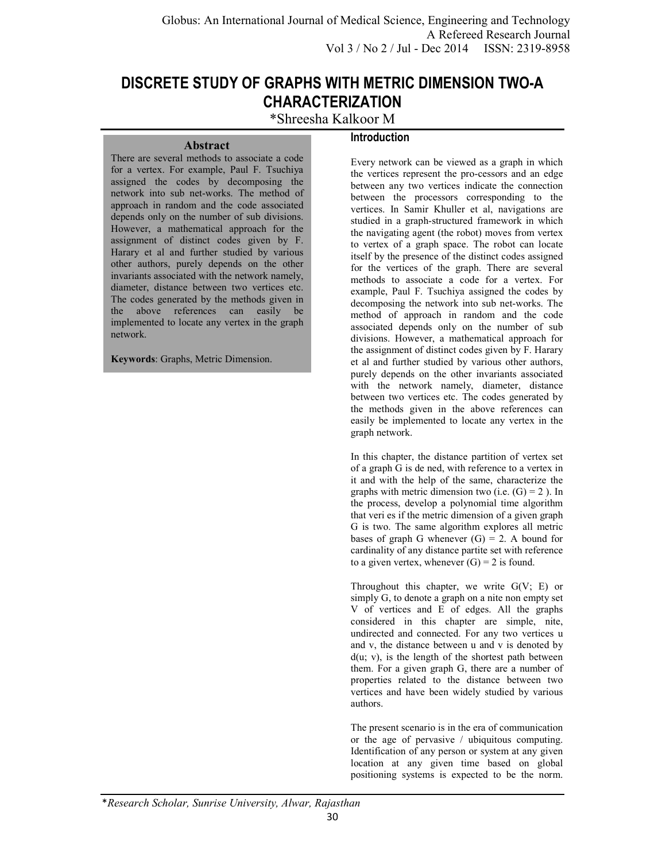# **DISCRETE STUDY OF GRAPHS WITH METRIC DIMENSION TWO-A CHARACTERIZATION**

\*Shreesha Kalkoor M

#### **Abstract**

## **Introduction**

There are several methods to associate a code for a vertex. For example, Paul F. Tsuchiya assigned the codes by decomposing the network into sub net-works. The method of approach in random and the code associated depends only on the number of sub divisions. However, a mathematical approach for the assignment of distinct codes given by F. Harary et al and further studied by various other authors, purely depends on the other invariants associated with the network namely, diameter, distance between two vertices etc. The codes generated by the methods given in the above references can easily be implemented to locate any vertex in the graph network.

**Keywords**: Graphs, Metric Dimension.

Every network can be viewed as a graph in which the vertices represent the pro-cessors and an edge between any two vertices indicate the connection between the processors corresponding to the vertices. In Samir Khuller et al, navigations are studied in a graph-structured framework in which the navigating agent (the robot) moves from vertex to vertex of a graph space. The robot can locate itself by the presence of the distinct codes assigned for the vertices of the graph. There are several methods to associate a code for a vertex. For example, Paul F. Tsuchiya assigned the codes by decomposing the network into sub net-works. The method of approach in random and the code associated depends only on the number of sub divisions. However, a mathematical approach for the assignment of distinct codes given by F. Harary et al and further studied by various other authors, purely depends on the other invariants associated with the network namely, diameter, distance between two vertices etc. The codes generated by the methods given in the above references can easily be implemented to locate any vertex in the graph network.

In this chapter, the distance partition of vertex set of a graph G is de ned, with reference to a vertex in it and with the help of the same, characterize the graphs with metric dimension two (i.e.  $(G) = 2$ ). In the process, develop a polynomial time algorithm that veri es if the metric dimension of a given graph G is two. The same algorithm explores all metric bases of graph G whenever  $(G) = 2$ . A bound for cardinality of any distance partite set with reference to a given vertex, whenever  $(G) = 2$  is found.

Throughout this chapter, we write  $G(V; E)$  or simply G, to denote a graph on a nite non empty set V of vertices and E of edges. All the graphs considered in this chapter are simple, nite, undirected and connected. For any two vertices u and v, the distance between u and v is denoted by  $d(u; v)$ , is the length of the shortest path between them. For a given graph G, there are a number of properties related to the distance between two vertices and have been widely studied by various authors.

The present scenario is in the era of communication or the age of pervasive / ubiquitous computing. Identification of any person or system at any given location at any given time based on global positioning systems is expected to be the norm.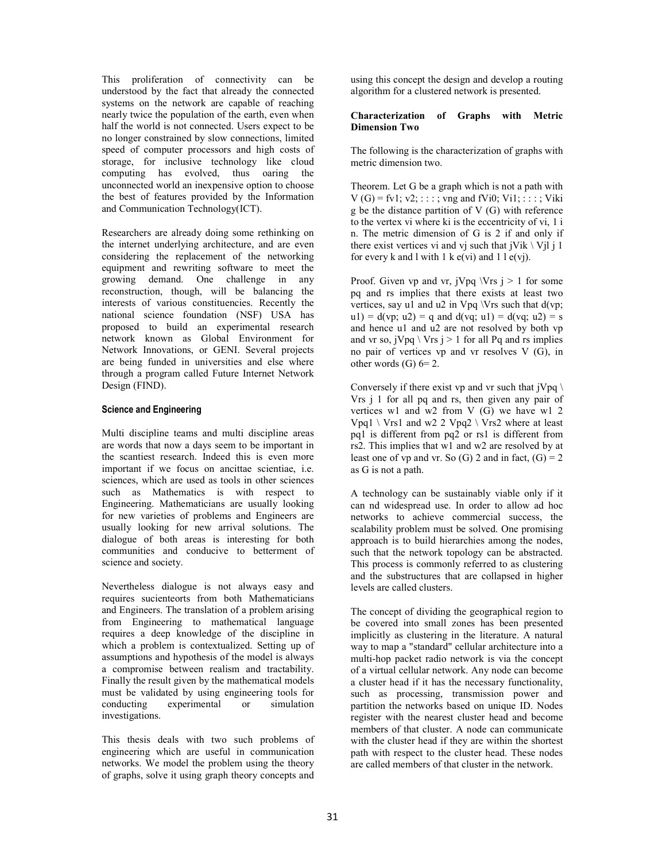This proliferation of connectivity can be understood by the fact that already the connected systems on the network are capable of reaching nearly twice the population of the earth, even when half the world is not connected. Users expect to be no longer constrained by slow connections, limited speed of computer processors and high costs of storage, for inclusive technology like cloud computing has evolved, thus oaring the unconnected world an inexpensive option to choose the best of features provided by the Information and Communication Technology(ICT).

Researchers are already doing some rethinking on the internet underlying architecture, and are even considering the replacement of the networking equipment and rewriting software to meet the growing demand. One challenge in any reconstruction, though, will be balancing the interests of various constituencies. Recently the national science foundation (NSF) USA has proposed to build an experimental research network known as Global Environment for Network Innovations, or GENI. Several projects are being funded in universities and else where through a program called Future Internet Network Design (FIND).

#### **Science and Engineering**

Multi discipline teams and multi discipline areas are words that now a days seem to be important in the scantiest research. Indeed this is even more important if we focus on ancittae scientiae, i.e. sciences, which are used as tools in other sciences such as Mathematics is with respect to Engineering. Mathematicians are usually looking for new varieties of problems and Engineers are usually looking for new arrival solutions. The dialogue of both areas is interesting for both communities and conducive to betterment of science and society.

Nevertheless dialogue is not always easy and requires sucienteorts from both Mathematicians and Engineers. The translation of a problem arising from Engineering to mathematical language requires a deep knowledge of the discipline in which a problem is contextualized. Setting up of assumptions and hypothesis of the model is always a compromise between realism and tractability. Finally the result given by the mathematical models must be validated by using engineering tools for conducting experimental or simulation investigations.

This thesis deals with two such problems of engineering which are useful in communication networks. We model the problem using the theory of graphs, solve it using graph theory concepts and using this concept the design and develop a routing algorithm for a clustered network is presented.

#### **Characterization of Graphs with Metric Dimension Two**

The following is the characterization of graphs with metric dimension two.

Theorem. Let G be a graph which is not a path with  $V(G) = fvl; v2; ...; vng and fVi0; Vi1; ...; Viki$ g be the distance partition of V (G) with reference to the vertex vi where ki is the eccentricity of vi, 1 i n. The metric dimension of G is 2 if and only if there exist vertices vi and vj such that  $jVik \setminus Vjl j 1$ for every k and l with  $1 \text{ k } e(\text{vi})$  and  $1 \text{ l } e(\text{vi})$ .

Proof. Given vp and vr,  $jVpq \, \forall rs \, j > 1$  for some pq and rs implies that there exists at least two vertices, say  $u\bar{1}$  and  $u\bar{2}$  in Vpq \Vrs such that d(vp; u1) =  $d(vp; u2) = q$  and  $d(vq; u1) = d(vq; u2) = s$ and hence u1 and u2 are not resolved by both vp and vr so,  $jVpq \setminus Vrs j > 1$  for all Pq and rs implies no pair of vertices vp and vr resolves V (G), in other words  $(G)$  6= 2.

Conversely if there exist vp and vr such that  $iVpq \nightharpoonup$ Vrs j 1 for all pq and rs, then given any pair of vertices w1 and w2 from V (G) we have w1 2 Vpq1 \ Vrs1 and w2 2 Vpq2 \ Vrs2 where at least pq1 is different from pq2 or rs1 is different from rs2. This implies that w1 and w2 are resolved by at least one of vp and vr. So  $(G)$  2 and in fact,  $(G) = 2$ as G is not a path.

A technology can be sustainably viable only if it can nd widespread use. In order to allow ad hoc networks to achieve commercial success, the scalability problem must be solved. One promising approach is to build hierarchies among the nodes, such that the network topology can be abstracted. This process is commonly referred to as clustering and the substructures that are collapsed in higher levels are called clusters.

The concept of dividing the geographical region to be covered into small zones has been presented implicitly as clustering in the literature. A natural way to map a "standard" cellular architecture into a multi-hop packet radio network is via the concept of a virtual cellular network. Any node can become a cluster head if it has the necessary functionality, such as processing, transmission power and partition the networks based on unique ID. Nodes register with the nearest cluster head and become members of that cluster. A node can communicate with the cluster head if they are within the shortest path with respect to the cluster head. These nodes are called members of that cluster in the network.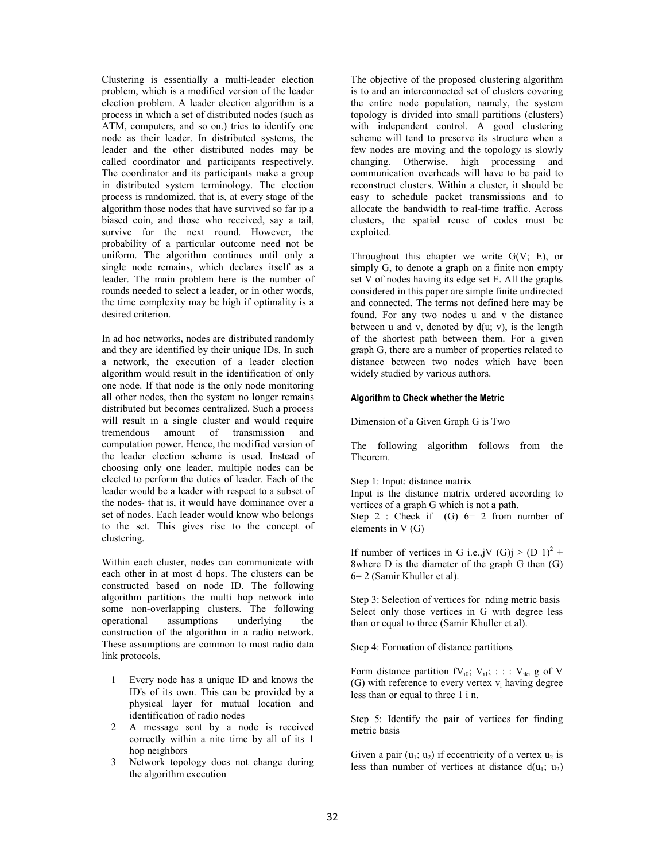Clustering is essentially a multi-leader election problem, which is a modified version of the leader election problem. A leader election algorithm is a process in which a set of distributed nodes (such as ATM, computers, and so on.) tries to identify one node as their leader. In distributed systems, the leader and the other distributed nodes may be called coordinator and participants respectively. The coordinator and its participants make a group in distributed system terminology. The election process is randomized, that is, at every stage of the algorithm those nodes that have survived so far ip a biased coin, and those who received, say a tail, survive for the next round. However, the probability of a particular outcome need not be uniform. The algorithm continues until only a single node remains, which declares itself as a leader. The main problem here is the number of rounds needed to select a leader, or in other words, the time complexity may be high if optimality is a desired criterion.

In ad hoc networks, nodes are distributed randomly and they are identified by their unique IDs. In such a network, the execution of a leader election algorithm would result in the identification of only one node. If that node is the only node monitoring all other nodes, then the system no longer remains distributed but becomes centralized. Such a process will result in a single cluster and would require tremendous amount of transmission and computation power. Hence, the modified version of the leader election scheme is used. Instead of choosing only one leader, multiple nodes can be elected to perform the duties of leader. Each of the leader would be a leader with respect to a subset of the nodes- that is, it would have dominance over a set of nodes. Each leader would know who belongs to the set. This gives rise to the concept of clustering.

Within each cluster, nodes can communicate with each other in at most d hops. The clusters can be constructed based on node ID. The following algorithm partitions the multi hop network into some non-overlapping clusters. The following operational assumptions underlying the construction of the algorithm in a radio network. These assumptions are common to most radio data link protocols.

- 1 Every node has a unique ID and knows the ID's of its own. This can be provided by a physical layer for mutual location and identification of radio nodes
- 2 A message sent by a node is received correctly within a nite time by all of its 1 hop neighbors
- 3 Network topology does not change during the algorithm execution

The objective of the proposed clustering algorithm is to and an interconnected set of clusters covering the entire node population, namely, the system topology is divided into small partitions (clusters) with independent control. A good clustering scheme will tend to preserve its structure when a few nodes are moving and the topology is slowly changing. Otherwise, high processing and communication overheads will have to be paid to reconstruct clusters. Within a cluster, it should be easy to schedule packet transmissions and to allocate the bandwidth to real-time traffic. Across clusters, the spatial reuse of codes must be exploited.

Throughout this chapter we write  $G(V; E)$ , or simply G, to denote a graph on a finite non empty set V of nodes having its edge set E. All the graphs considered in this paper are simple finite undirected and connected. The terms not defined here may be found. For any two nodes u and v the distance between u and v, denoted by  $d(u; v)$ , is the length of the shortest path between them. For a given graph G, there are a number of properties related to distance between two nodes which have been widely studied by various authors.

#### **Algorithm to Check whether the Metric**

Dimension of a Given Graph G is Two

The following algorithm follows from the Theorem.

Step 1: Input: distance matrix

Input is the distance matrix ordered according to vertices of a graph G which is not a path.

Step 2 : Check if  $(G)$  6= 2 from number of elements in V (G)

If number of vertices in G i.e.,jV  $(G)$ j >  $(D 1)^2$  + 8where  $D$  is the diameter of the graph  $G$  then  $(G)$ 6= 2 (Samir Khuller et al).

Step 3: Selection of vertices for nding metric basis Select only those vertices in G with degree less than or equal to three (Samir Khuller et al).

Step 4: Formation of distance partitions

Form distance partition  $fV_{i0}$ ;  $V_{i1}$ ; : : :  $V_{iki}$  g of V (G) with reference to every vertex  $v_i$  having degree less than or equal to three 1 i n.

Step 5: Identify the pair of vertices for finding metric basis

Given a pair  $(u_1; u_2)$  if eccentricity of a vertex  $u_2$  is less than number of vertices at distance  $d(u_1; u_2)$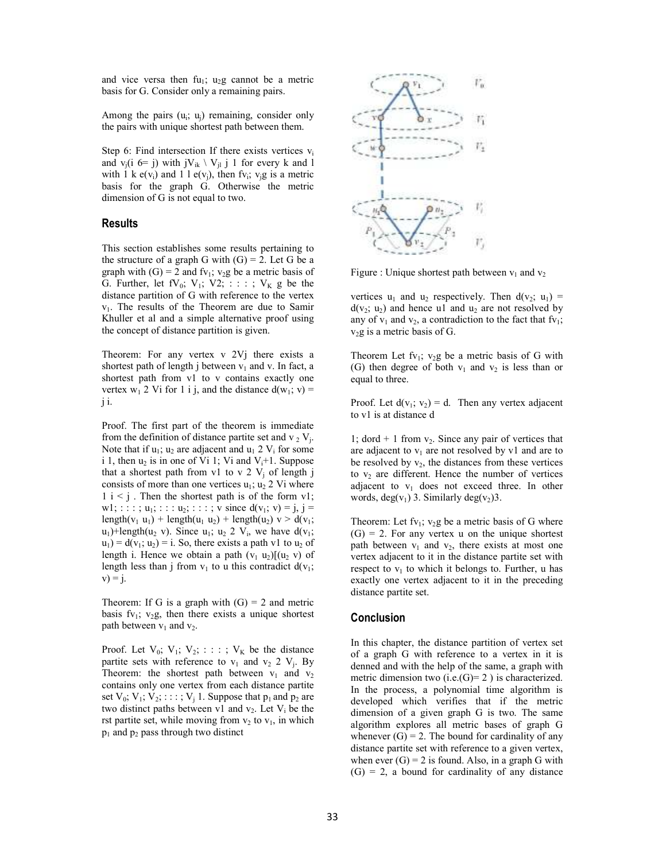and vice versa then  $fu_1$ ;  $u_2g$  cannot be a metric basis for G. Consider only a remaining pairs.

Among the pairs  $(u_i; u_j)$  remaining, consider only the pairs with unique shortest path between them.

Step 6: Find intersection If there exists vertices  $v_i$ and  $v_i(i \t6= j)$  with  $jV_{ik} \setminus V_{il}$  j 1 for every k and 1 with 1 k  $e(v_i)$  and 1 l  $e(v_j)$ , then fv<sub>i</sub>; v<sub>j</sub>g is a metric basis for the graph G. Otherwise the metric dimension of G is not equal to two.

#### **Results**

This section establishes some results pertaining to the structure of a graph G with  $(G) = 2$ . Let G be a graph with  $(G) = 2$  and fv<sub>1</sub>; v<sub>2</sub>g be a metric basis of G. Further, let  $fV_0$ ;  $V_1$ ;  $V_2$ ; : : : ;  $V_K$  g be the distance partition of G with reference to the vertex v1. The results of the Theorem are due to Samir Khuller et al and a simple alternative proof using the concept of distance partition is given.

Theorem: For any vertex v 2Vj there exists a shortest path of length j between  $v_1$  and v. In fact, a shortest path from v1 to v contains exactly one vertex  $w_1$  2 Vi for 1 i j, and the distance  $d(w_1; v)$  = j i.

Proof. The first part of the theorem is immediate from the definition of distance partite set and  $v_2 V_j$ . Note that if  $u_1$ ;  $u_2$  are adjacent and  $u_1$  2  $V_i$  for some i 1, then  $u_2$  is in one of Vi 1; Vi and  $V_i+1$ . Suppose that a shortest path from v1 to v 2  $V_j$  of length j consists of more than one vertices  $u_1$ ;  $u_2$  2 Vi where  $1 \text{ i} < j$ . Then the shortest path is of the form v1; w1; : : : ;  $u_1$ ; : : : :  $u_2$ ; : : : ; v since  $d(v_1; v) = j$ ,  $j =$ length(v<sub>1</sub> u<sub>1</sub>) + length(u<sub>1</sub> u<sub>2</sub>) + length(u<sub>2</sub>)  $v > d(v_1;$  $u_1$ )+length( $u_2$  v). Since  $u_1$ ;  $u_2$  2  $V_i$ , we have  $d(v_1)$ ;  $u_1$ ) = d(v<sub>1</sub>;  $u_2$ ) = i. So, there exists a path v1 to  $u_2$  of length i. Hence we obtain a path  $(v_1 u_2)$ [ $(u_2 v)$  of length less than j from  $v_1$  to u this contradict  $d(v_1;$  $v) = j.$ 

Theorem: If G is a graph with  $(G) = 2$  and metric basis fv<sub>1</sub>; v<sub>2</sub>g, then there exists a unique shortest path between  $v_1$  and  $v_2$ .

Proof. Let  $V_0$ ;  $V_1$ ;  $V_2$ ; : : : ;  $V_K$  be the distance partite sets with reference to  $v_1$  and  $v_2$  2  $V_j$ . By Theorem: the shortest path between  $v_1$  and  $v_2$ contains only one vertex from each distance partite set  $V_0$ ;  $V_1$ ;  $V_2$ ; : : : ;  $V_j$  1. Suppose that  $p_1$  and  $p_2$  are two distinct paths between  $v1$  and  $v_2$ . Let  $V_i$  be the rst partite set, while moving from  $v_2$  to  $v_1$ , in which  $p_1$  and  $p_2$  pass through two distinct



Figure : Unique shortest path between  $v_1$  and  $v_2$ 

vertices  $u_1$  and  $u_2$  respectively. Then  $d(v_2; u_1) =$  $d(v_2; u_2)$  and hence u1 and  $u_2$  are not resolved by any of  $v_1$  and  $v_2$ , a contradiction to the fact that fv<sub>1</sub>;  $v_2$ g is a metric basis of G.

Theorem Let  $fv_1$ ;  $v_2g$  be a metric basis of G with (G) then degree of both  $v_1$  and  $v_2$  is less than or equal to three.

Proof. Let  $d(v_1; v_2) = d$ . Then any vertex adjacent to v1 is at distance d

1; dord  $+$  1 from  $v_2$ . Since any pair of vertices that are adjacent to  $v_1$  are not resolved by v1 and are to be resolved by  $v_2$ , the distances from these vertices to  $v_2$  are different. Hence the number of vertices adjacent to  $v_1$  does not exceed three. In other words, deg(v<sub>1</sub>) 3. Similarly deg(v<sub>2</sub>) 3.

Theorem: Let fv<sub>1</sub>; v<sub>2</sub>g be a metric basis of G where  $(G) = 2$ . For any vertex u on the unique shortest path between  $v_1$  and  $v_2$ , there exists at most one vertex adjacent to it in the distance partite set with respect to  $v_1$  to which it belongs to. Further, u has exactly one vertex adjacent to it in the preceding distance partite set.

#### **Conclusion**

In this chapter, the distance partition of vertex set of a graph G with reference to a vertex in it is denned and with the help of the same, a graph with metric dimension two  $(i.e.(G)=2)$  is characterized. In the process, a polynomial time algorithm is developed which verifies that if the metric dimension of a given graph G is two. The same algorithm explores all metric bases of graph G whenever  $(G) = 2$ . The bound for cardinality of any distance partite set with reference to a given vertex, when ever  $(G) = 2$  is found. Also, in a graph G with  $(G) = 2$ , a bound for cardinality of any distance